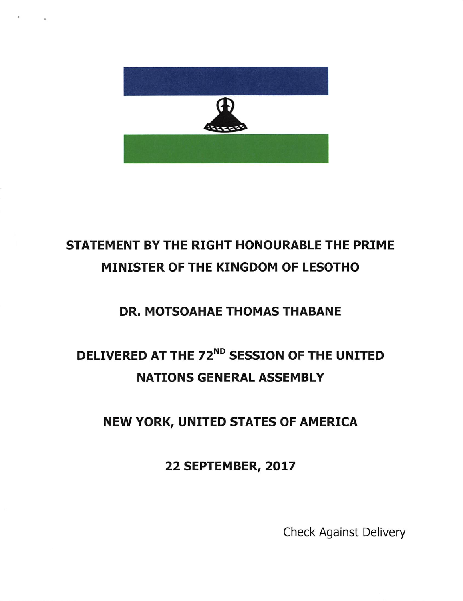

## STATEMENT BY THE RIGHT HONOURABLE THE PRIME MINISTER OF THE KINGDOM OF LESOTHO

### DR. MOTSOAHAE THOMAS THABANE

## DELIVERED AT THE 72<sup>ND</sup> SESSION OF THE UNITED NATIONS GENERAL ASSEMBLY

### NEW YORK, UNITED STATES OF AMERICA

22 SEPTEMBER, 2017

Check Against Delivery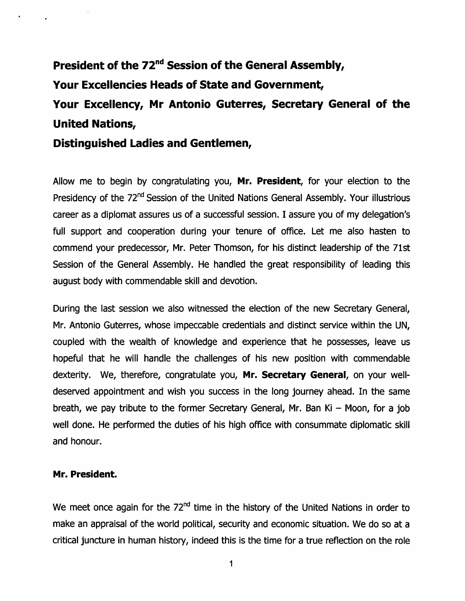# President of the 72<sup>nd</sup> Session of the General Assembly, Your Excellencies Heads of State and Government, Your Excellency, Mr Antonio Guterres, Secretary General of the United Nations,

Distinguished Ladles and Gentlemen,

Allow me to begin by congratulating you, Mr. President, for your election to the Presidency of the 72<sup>nd</sup> Session of the United Nations General Assembly. Your illustrious career as a diplomat assures us of a successful session. I assure you of my delegation's full support and cooperation during your tenure of office. Let me also hasten to commend your predecessor, Mr. Peter Thomson, for his distinct leadership of the 71st Session of the General Assembly. He handled the great responsibility of leading this august body with commendable skill and devotion.

During the last session we also witnessed the election of the new Secretary General, Mr. Antonio Guterres, whose impeccable credentials and distinct service within the UN, coupled with the wealth of knowledge and experience that he possesses, leave us hopeful that he will handle the challenges of his new position with commendable dexterity. We, therefore, congratulate you, Mr. Secretary General, on your welldeserved appointment and wish you success in the long journey ahead. In the same breath, we pay tribute to the former Secretary General, Mr. Ban Ki – Moon, for a job well done. He performed the duties of his high office with consummate diplomatic skill and honour.

#### Mr. President.

We meet once again for the  $72<sup>nd</sup>$  time in the history of the United Nations in order to make an appraisal of the world political, security and economic situation. We do so at a critical juncture in human history, indeed this is the time for a true reflection on the role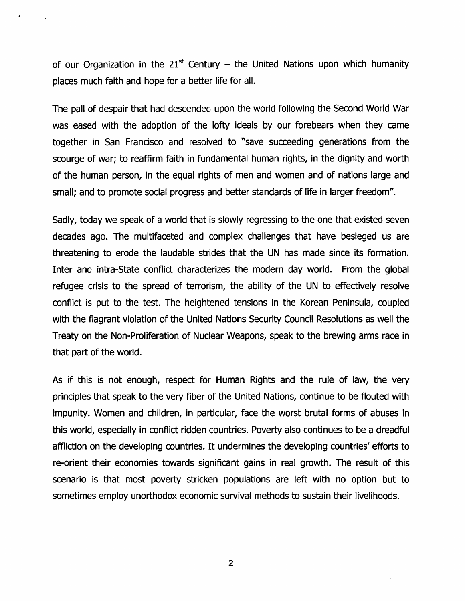of our Organization in the  $21<sup>st</sup>$  Century – the United Nations upon which humanity places much faith and hope for a better life for aii.

The paii of despair that had descended upon the world following the Second World War was eased with the adoption of the lofty ideals by our forebears when they came together in San Francisco and resolved to "save succeeding generations from the scourge of war; to reaffirm faith in fundamental human rights, in the dignity and worth of the human person, in the equal rights of men and women and of nations large and small; and to promote social progress and better standards of life in larger freedom".

Sadly, today we speak of a world that is slowly regressing to the one that existed seven decades ago. The muitifaceted and complex challenges that have besieged us are threatening to erode the laudable strides that the UN has made since its formation. Inter and intra-State conflict characterizes the modern day world. From the global refugee crisis to the spread of terrorism, the ability of the UN to effectively resolve conflict is put to the test. The heightened tensions in the Korean Peninsula, coupled with the flagrant violation of the United Nations Security Council Resolutions as well the Treaty on the Non-Proiiferation of Nuclear Weapons, speak to the brewing arms race in that part of the world.

As if this is not enough, respect for Human Rights and the rule of law, the very principles that speak to the very fiber of the United Nations, continue to be flouted with impunity. Women and children, in particular, face the worst brutal forms of abuses in this world, especially in conflict ridden countries. Poverty also continues to be a dreadful affliction on the developing countries. It undermines the developing countries' efforts to re-orient their economies towards significant gains in real growth. The result of this scenario is that most poverty stricken populations are left with no option but to sometimes employ unorthodox economic survival methods to sustain their livelihoods.

 $\overline{2}$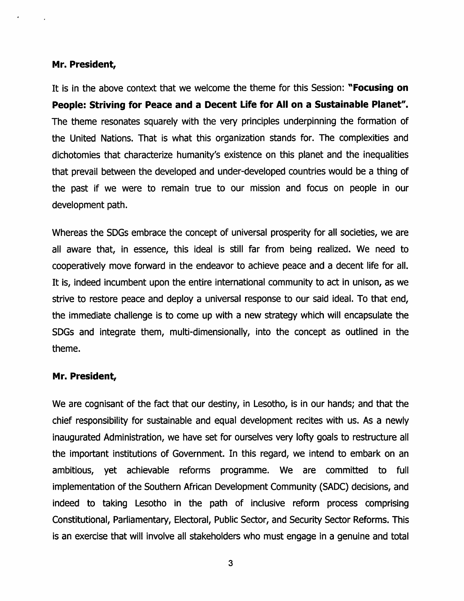#### Mr. President,

It is in the above context that we welcome the theme for this Session: "Focusing on People: Striving for Peace and a Decent Life for All on a Sustainable Planet". The theme resonates squarely with the very principles underpinning the formation of the United Nations. That is what this organization stands for. The complexities and dichotomies that characterize humanity's existence on this planet and the inequalities that prevail between the developed and under-developed countries would be a thing of the past if we were to remain true to our mission and focus on people in our development path.

Whereas the SDGs embrace the concept of universal prosperity for all societies, we are all aware that, in essence, this ideal is still far from being realized. We need to cooperatively move forward in the endeavor to achieve peace and a decent life for all. It is, indeed incumbent upon the entire international community to act in unison, as we strive to restore peace and deploy a universal response to our said ideal. To that end, the immediate challenge is to come up with a new strategy which will encapsulate the SDGs and integrate them, multi-dimensionally, into the concept as outlined in the theme.

#### Mr. President,

We are cognisant of the fact that our destiny, in Lesotho, is in our hands; and that the chief responsibility for sustainable and equal development recites with us. As a newly inaugurated Administration, we have set for ourselves very lofty goals to restructure all the important institutions of Government. In this regard, we intend to embark on an ambitious, yet achievable reforms programme. We are committed to full implementation of the Southern African Development Community (SADC) decisions, and indeed to taking Lesotho in the path of inclusive reform process comprising Constitutional, Parliamentary, Electoral, Public Sector, and Security Sector Reforms. This is an exercise that will involve all stakeholders who must engage in a genuine and total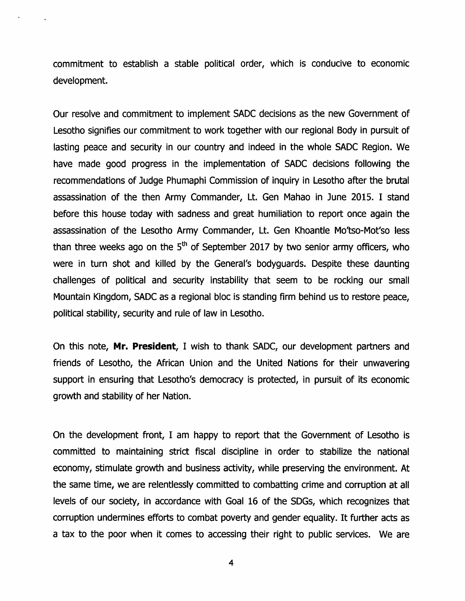commitment to establish a stable political order, which is conducive to economic development.

Our resolve and commitment to implement SADC decisions as the new Government of Lesotho signifies our commitment to work together with our regional Body in pursuit of lasting peace and security in our country and indeed in the whole SADC Region. We have made good progress in the implementation of SADC decisions following the recommendations of Judge Phumaphi Commission of inquiry in Lesotho after the brutal assassination of the then Army Commander, Lt. Gen Mahao in June 2015. I stand before this house today with sadness and great humiliation to report once again the assassination of the Lesotho Army Commander, Lt. Gen Khoantle Mo'tso-Mot'so less than three weeks ago on the  $5<sup>th</sup>$  of September 2017 by two senior army officers, who were in turn shot and killed by the General's bodyguards. Despite these daunting challenges of political and security instability that seem to be rocking our small Mountain Kingdom, SADC as a regional bloc is standing firm behind us to restore peace, political stability, security and rule of law in Lesotho.

On this note, Mr. President, I wish to thank SADC, our development partners and friends of Lesotho, the African Union and the United Nations for their unwavering support in ensuring that Lesotho's democracy is protected, in pursuit of its economic growth and stability of her Nation.

On the development front, I am happy to report that the Government of Lesotho is committed to maintaining strict fiscal discipline in order to stabilize the national economy, stimulate growth and business activity, while preserving the environment. At the same time, we are relentlessly committed to combatting crime and corruption at all levels of our society, in accordance with Goal 16 of the SDGs, which recognizes that corruption undermines efforts to combat poverty and gender equality. It further acts as a tax to the poor when it comes to accessing their right to public services. We are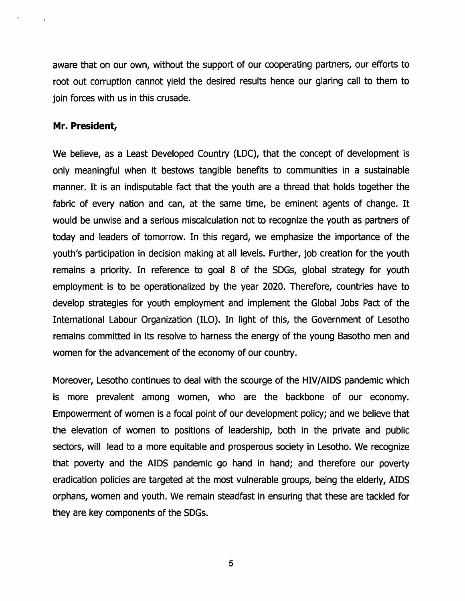aware that on our own, without the support of our cooperating partners, our efforts to root out corruption cannot yield the desired results hence our glaring call to them to join forces with us in this crusade.

#### Mr. President,

We believe, as a Least Developed Country (LDC), that the concept of development is only meaningful when it bestows tangible benefits to communities in a sustainable manner. It is an indisputable fact that the youth are a thread that holds together the fabric of every nation and can, at the same time, be eminent agents of change. It would be unwise and a serious miscalculation not to recognize the youth as partners of today and leaders of tomorrow. In this regard, we emphasize the importance of the youth's participation in decision making at ail levels. Further, job creation for the youth remains a priority. In reference to goal 8 of the SDGs, global strategy for youth employment is to be operationaiized by the year 2020. Therefore, countries have to develop strategies for youth employment and implement the Global Jobs Pact of the International Labour Organization (ILO). In light of this, the Government of Lesotho remains committed in its resolve to harness the energy of the young Basotho men and women for the advancement of the economy of our country.

Moreover, Lesotho continues to deal with the scourge of the HIV/AIDS pandemic which is more prevalent among women, who are the backbone of our economy. Empowerment of women is a focal point of our development policy; and we believe that the elevation of women to positions of leadership, both in the private and public sectors, will lead to a more equitable and prosperous society in Lesotho. We recognize that poverty and the AIDS pandemic go hand in hand; and therefore our poverty eradication policies are targeted at the most vulnerable groups, being the elderly, AIDS orphans, women and youth. We remain steadfast in ensuring that these are tackled for they are key components of the SDGs.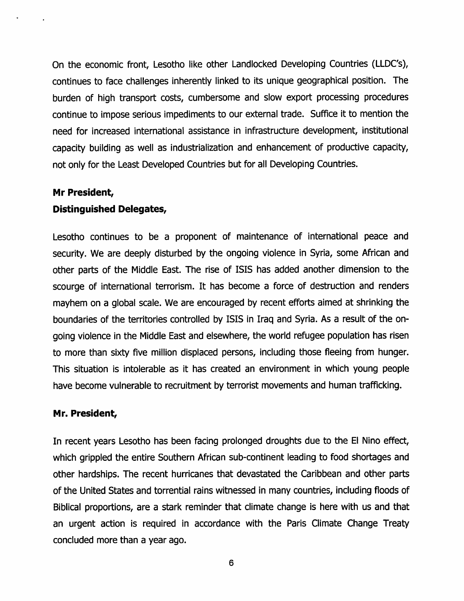On the economic front, Lesotho like other Landlocked Developing Countries (LLDG's), continues to face challenges inherently linked to its unique geographical position. The burden of high transport costs, cumbersome and slow export processing procedures continue to impose serious impediments to our external trade. Suffice it to mention the need for increased international assistance in infrastructure development, institutional capacity building as well as Industrialization and enhancement of productive capacity, not only for the Least Developed Countries but for all Developing Countries.

#### Mr President,

#### Distinguished Delegates,

Lesotho continues to be a proponent of maintenance of international peace and security. We are deeply disturbed by the ongoing violence in Syria, some African and other parts of the Middle East. The rise of ISIS has added another dimension to the scourge of international terrorism. It has become a force of destruction and renders mayhem on a global scale. We are encouraged by recent efforts aimed at shrinking the boundaries of the territories controlled by ISIS In Iraq and Syria. As a result of the on going violence In the Middle East and elsewhere, the world refugee population has risen to more than sixty five million displaced persons. Including those fleeing from hunger. This situation is intolerable as it has created an environment in which young people have become vulnerable to recruitment by terrorist movements and human trafficking.

#### Mr. President,

In recent years Lesotho has been facing prolonged droughts due to the El Nino effect, which grippled the entire Southern African sub-continent leading to food shortages and other hardships. The recent hurricanes that devastated the Caribbean and other parts of the United States and torrential rains witnessed in many countries, including floods of Biblical proportions, are a stark reminder that climate change is here with us and that an urgent action is required in accordance with the Paris Climate Change Treaty concluded more than a year ago.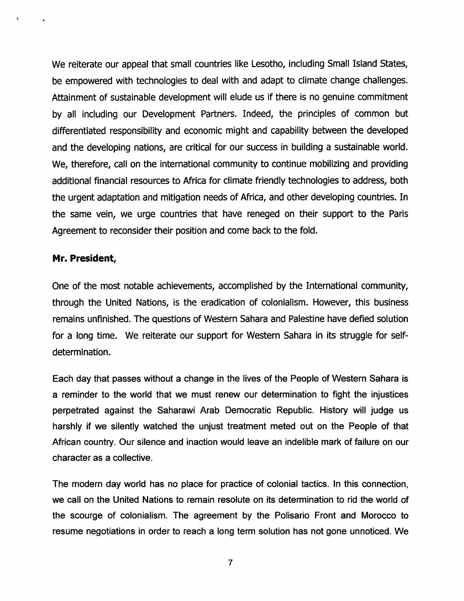We reiterate our appeal that small countries like Lesotho, including Small Island States, be empowered with technologies to deal with and adapt to climate change challenges. Attainment of sustainable development will elude us if there is no genuine commitment by all including our Development Partners. Indeed, the principles of common but differentiated responsibility and economic might and capability between the developed and the developing nations, are critical for our success in building a sustainable world. We, therefore, call on the international community to continue mobilizing and providing additional financial resources to Africa for climate friendly technologies to address, both the urgent adaptation and mitigation needs of Africa, and other developing countries. In the same vein, we urge countries that have reneged on their support to the Paris Agreement to reconsider their position and come back to the fold.

#### Mr. President,

One of the most notable achievements, accomplished by the International community, through the United Nations, is the eradication of colonialism. However, this business remains unfinished. The questions of Western Sahara and Palestine have defied solution for a long time. We reiterate our support for Western Sahara in its struggle for selfdetermination.

Each day that passes without a change in the lives of the People of Western Sahara is a reminder to the world that we must renew our determination to fight the injustices perpetrated against the Saharawi Arab Democratic Republic. History will judge us harshly if we silently watched the unjust treatment meted out on the People of that African country. Our silence and inaction would leave an indelible mark of failure on our character as <sup>a</sup> collective.

The modern day world has no place for practice of colonial tactics. In this connection, we call on the United Nations to remain resolute on its determination to rid the world of the scourge of colonialism. The agreement by the Polisario Front and Morocco to resume negotiations in order to reach a long term solution has not gone unnoticed. We

 $\overline{7}$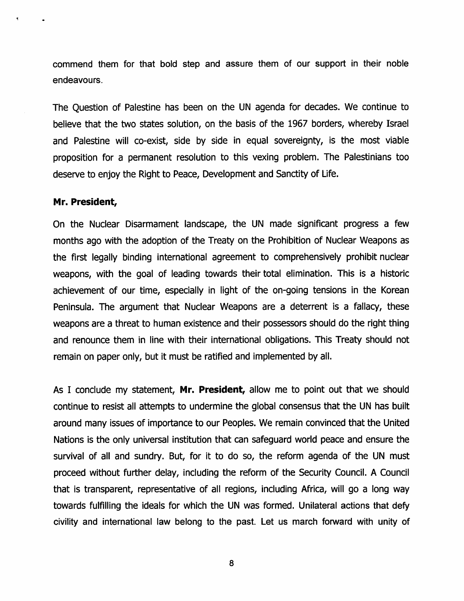commend them for that bold step and assure them of our support in their noble endeavours.

The Question of Palestine has been on the UN agenda for decades. We continue to believe that the two states solution, on the basis of the 1967 borders, whereby Israel and Palestine will co-exist, side by side in equal sovereignty, is the most viable proposition for a permanent resolution to this vexing problem. The Palestinians too deserve to enjoy the Right to Peace, Development and Sanctity of Life.

#### Mr. President,

On the Nuclear Disarmament landscape, the UN made significant progress a few months ago with the adoption of the Treaty on the Prohibition of Nuclear Weapons as the first legally binding international agreement to comprehensively prohibit nuclear weapons, with the goal of leading towards their total elimination. This is a historic achievement of our time, especially in light of the on-going tensions in the Korean Peninsula. The argument that Nuclear Weapons are a deterrent is a fallacy, these weapons are a threat to human existence and their possessors should do the right thing and renounce them in line with their international obligations. This Treaty should not remain on paper only, but it must be ratified and implemented by all.

As I conclude my statement, Mr. President, allow me to point out that we should continue to resist all attempts to undermine the global consensus that the UN has built around many issues of importance to our Peoples. We remain convinced that the United Nations is the only universal institution that can safeguard world peace and ensure the survival of all and sundry. But, for it to do so, the reform agenda of the UN must proceed without further delay, including the reform of the Security Council. A Council that is transparent, representative of all regions, including Africa, will go a long way towards fulfilling the ideals for which the UN was formed. Unilateral actions that defy civility and international law belong to the past. Let us march forward with unity of